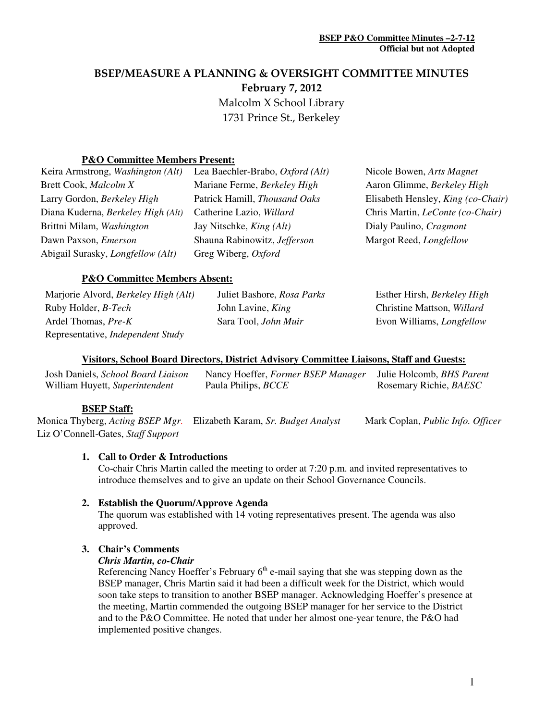# BSEP/MEASURE A PLANNING & OVERSIGHT COMMITTEE MINUTES

February 7, 2012

 Malcolm X School Library 1731 Prince St., Berkeley

## **P&O Committee Members Present:**

| Keira Armstrong, Washington (Alt)        | Lea Baechler-Brabo, Oxford (Alt) | Nicole Bowen, Arts Magnet          |
|------------------------------------------|----------------------------------|------------------------------------|
| Brett Cook, Malcolm X                    | Mariane Ferme, Berkeley High     | Aaron Glimme, Berkeley High        |
| Larry Gordon, Berkeley High              | Patrick Hamill, Thousand Oaks    | Elisabeth Hensley, King (co-Chair) |
| Diana Kuderna, Berkeley High (Alt)       | Catherine Lazio, Willard         | Chris Martin, LeConte (co-Chair)   |
| Brittni Milam, Washington                | Jay Nitschke, <i>King (Alt)</i>  | Dialy Paulino, Cragmont            |
| Dawn Paxson, <i>Emerson</i>              | Shauna Rabinowitz, Jefferson     | Margot Reed, Longfellow            |
| Abigail Surasky, <i>Longfellow</i> (Alt) | Greg Wiberg, Oxford              |                                    |
|                                          |                                  |                                    |

## **P&O Committee Members Absent:**

Marjorie Alvord, *Berkeley High (Alt)* Juliet Bashore, *Rosa Parks* Esther Hirsh, *Berkeley High* Ruby Holder, *B-Tech* John Lavine, *King* Christine Mattson, *Willard* Ardel Thomas, *Pre-K* Sara Tool, *John Muir* Evon Williams, *Longfellow* Representative, *Independent Study* 

#### **Visitors, School Board Directors, District Advisory Committee Liaisons, Staff and Guests:**

| Josh Daniels, School Board Liaison | Nancy Hoeffer, Former BSEP Manager Julie Holcomb, BHS Parent |                        |
|------------------------------------|--------------------------------------------------------------|------------------------|
| William Huyett, Superintendent     | Paula Philips, <i>BCCE</i>                                   | Rosemary Richie, BAESC |

## **BSEP Staff:**

Monica Thyberg, *Acting BSEP Mgr.* Elizabeth Karam, *Sr. Budget Analyst* Mark Coplan, *Public Info. Officer* Liz O'Connell-Gates, *Staff Support* 

## **1. Call to Order & Introductions**

Co-chair Chris Martin called the meeting to order at 7:20 p.m. and invited representatives to introduce themselves and to give an update on their School Governance Councils.

## **2. Establish the Quorum/Approve Agenda**

The quorum was established with 14 voting representatives present. The agenda was also approved.

#### **3. Chair's Comments**

#### *Chris Martin, co-Chair*

Referencing Nancy Hoeffer's February  $6<sup>th</sup>$  e-mail saying that she was stepping down as the BSEP manager, Chris Martin said it had been a difficult week for the District, which would soon take steps to transition to another BSEP manager. Acknowledging Hoeffer's presence at the meeting, Martin commended the outgoing BSEP manager for her service to the District and to the P&O Committee. He noted that under her almost one-year tenure, the P&O had implemented positive changes.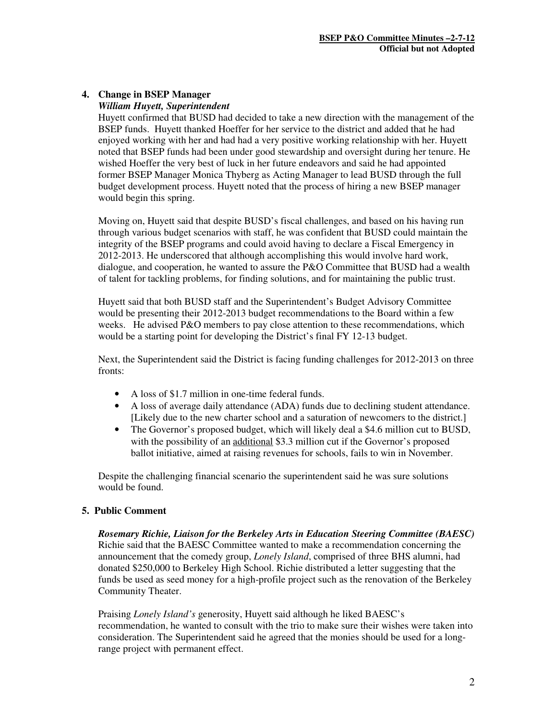# **4. Change in BSEP Manager**

## *William Huyett, Superintendent*

Huyett confirmed that BUSD had decided to take a new direction with the management of the BSEP funds. Huyett thanked Hoeffer for her service to the district and added that he had enjoyed working with her and had had a very positive working relationship with her. Huyett noted that BSEP funds had been under good stewardship and oversight during her tenure. He wished Hoeffer the very best of luck in her future endeavors and said he had appointed former BSEP Manager Monica Thyberg as Acting Manager to lead BUSD through the full budget development process. Huyett noted that the process of hiring a new BSEP manager would begin this spring.

Moving on, Huyett said that despite BUSD's fiscal challenges, and based on his having run through various budget scenarios with staff, he was confident that BUSD could maintain the integrity of the BSEP programs and could avoid having to declare a Fiscal Emergency in 2012-2013. He underscored that although accomplishing this would involve hard work, dialogue, and cooperation, he wanted to assure the P&O Committee that BUSD had a wealth of talent for tackling problems, for finding solutions, and for maintaining the public trust.

Huyett said that both BUSD staff and the Superintendent's Budget Advisory Committee would be presenting their 2012-2013 budget recommendations to the Board within a few weeks. He advised P&O members to pay close attention to these recommendations, which would be a starting point for developing the District's final FY 12-13 budget.

Next, the Superintendent said the District is facing funding challenges for 2012-2013 on three fronts:

- A loss of \$1.7 million in one-time federal funds.
- A loss of average daily attendance (ADA) funds due to declining student attendance. [Likely due to the new charter school and a saturation of newcomers to the district.]
- The Governor's proposed budget, which will likely deal a \$4.6 million cut to BUSD, with the possibility of an additional \$3.3 million cut if the Governor's proposed ballot initiative, aimed at raising revenues for schools, fails to win in November.

Despite the challenging financial scenario the superintendent said he was sure solutions would be found.

## **5. Public Comment**

*Rosemary Richie, Liaison for the Berkeley Arts in Education Steering Committee (BAESC)* Richie said that the BAESC Committee wanted to make a recommendation concerning the announcement that the comedy group, *Lonely Island*, comprised of three BHS alumni, had donated \$250,000 to Berkeley High School. Richie distributed a letter suggesting that the funds be used as seed money for a high-profile project such as the renovation of the Berkeley Community Theater.

Praising *Lonely Island's* generosity, Huyett said although he liked BAESC's recommendation, he wanted to consult with the trio to make sure their wishes were taken into consideration. The Superintendent said he agreed that the monies should be used for a longrange project with permanent effect.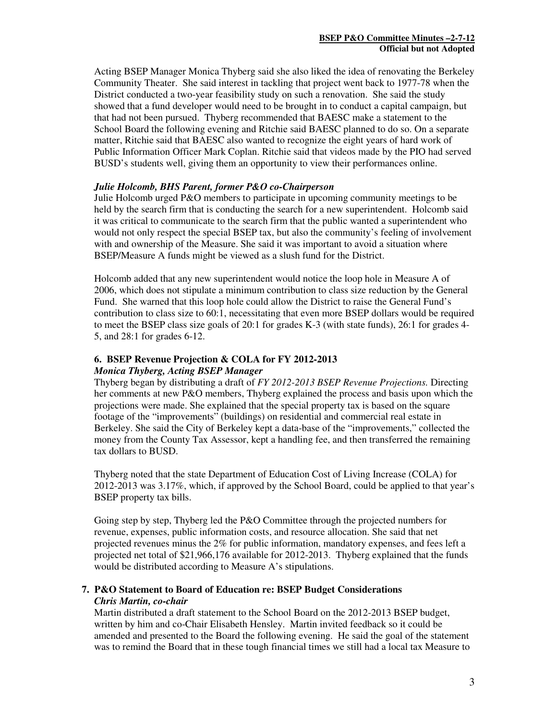Acting BSEP Manager Monica Thyberg said she also liked the idea of renovating the Berkeley Community Theater. She said interest in tackling that project went back to 1977-78 when the District conducted a two-year feasibility study on such a renovation. She said the study showed that a fund developer would need to be brought in to conduct a capital campaign, but that had not been pursued. Thyberg recommended that BAESC make a statement to the School Board the following evening and Ritchie said BAESC planned to do so. On a separate matter, Ritchie said that BAESC also wanted to recognize the eight years of hard work of Public Information Officer Mark Coplan. Ritchie said that videos made by the PIO had served BUSD's students well, giving them an opportunity to view their performances online.

## *Julie Holcomb, BHS Parent, former P&O co-Chairperson*

Julie Holcomb urged P&O members to participate in upcoming community meetings to be held by the search firm that is conducting the search for a new superintendent. Holcomb said it was critical to communicate to the search firm that the public wanted a superintendent who would not only respect the special BSEP tax, but also the community's feeling of involvement with and ownership of the Measure. She said it was important to avoid a situation where BSEP/Measure A funds might be viewed as a slush fund for the District.

Holcomb added that any new superintendent would notice the loop hole in Measure A of 2006, which does not stipulate a minimum contribution to class size reduction by the General Fund. She warned that this loop hole could allow the District to raise the General Fund's contribution to class size to 60:1, necessitating that even more BSEP dollars would be required to meet the BSEP class size goals of 20:1 for grades K-3 (with state funds), 26:1 for grades 4- 5, and 28:1 for grades 6-12.

#### **6. BSEP Revenue Projection & COLA for FY 2012-2013** *Monica Thyberg, Acting BSEP Manager*

Thyberg began by distributing a draft of *FY 2012-2013 BSEP Revenue Projections.* Directing her comments at new P&O members, Thyberg explained the process and basis upon which the projections were made. She explained that the special property tax is based on the square footage of the "improvements" (buildings) on residential and commercial real estate in Berkeley. She said the City of Berkeley kept a data-base of the "improvements," collected the money from the County Tax Assessor, kept a handling fee, and then transferred the remaining tax dollars to BUSD.

Thyberg noted that the state Department of Education Cost of Living Increase (COLA) for 2012-2013 was 3.17%, which, if approved by the School Board, could be applied to that year's BSEP property tax bills.

Going step by step, Thyberg led the P&O Committee through the projected numbers for revenue, expenses, public information costs, and resource allocation. She said that net projected revenues minus the 2% for public information, mandatory expenses, and fees left a projected net total of \$21,966,176 available for 2012-2013. Thyberg explained that the funds would be distributed according to Measure A's stipulations.

## **7. P&O Statement to Board of Education re: BSEP Budget Considerations** *Chris Martin, co-chair*

Martin distributed a draft statement to the School Board on the 2012-2013 BSEP budget, written by him and co-Chair Elisabeth Hensley. Martin invited feedback so it could be amended and presented to the Board the following evening. He said the goal of the statement was to remind the Board that in these tough financial times we still had a local tax Measure to